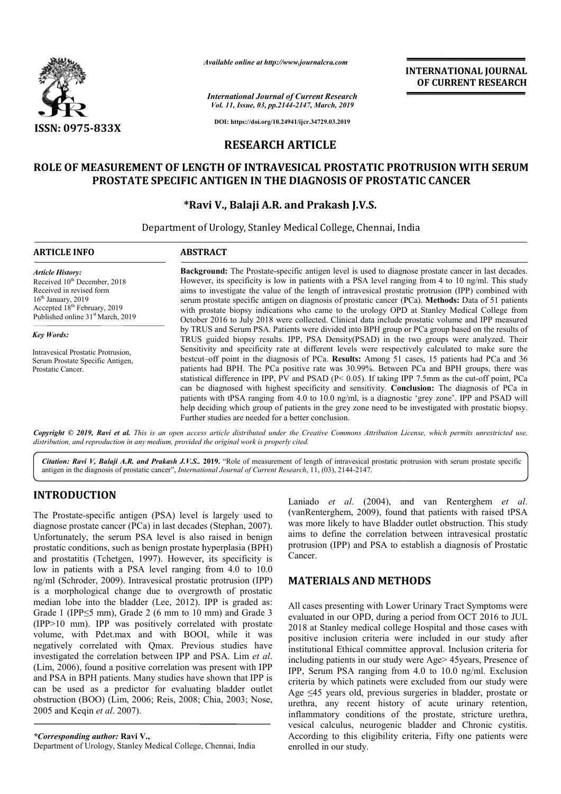

*Available online at http://www.journalcra.com*

**INTERNATIONAL JOURNAL OF CURRENT RESEARCH**

## **RESEARCH ARTICLE**

## **ROLE OF MEASUREMENT OF LENGTH OF INTRAVESICAL PROSTATIC PROTRUSION WITH SERUM LENGTH OF INTRAVESICAL PROSTATE SPECIFIC ANTIGEN IN THE DIAGNOSIS OF PROSTATIC CANCER**

# **\*Ravi V Ravi V., Balaji A.R. and Prakash J.V.S.**

|                                                                                                                                                                                                                                                                                                                                                                                                                                                                                                                                                                                                                                                                 | лтините опине игнир.//www.journatera.com                                                                                                                                                                                                                                                                                                                                                                                                                                                                                                                                                                                         |                                                                                                   | <b>INTERNATIONAL JOURNAL</b><br>OF CURRENT RESEARCH                                                                                                                                                                                                                                                                                                                                                                                                                                                                                                                                                                                                                                                                                                                                                                                                                                                                            |  |  |  |
|-----------------------------------------------------------------------------------------------------------------------------------------------------------------------------------------------------------------------------------------------------------------------------------------------------------------------------------------------------------------------------------------------------------------------------------------------------------------------------------------------------------------------------------------------------------------------------------------------------------------------------------------------------------------|----------------------------------------------------------------------------------------------------------------------------------------------------------------------------------------------------------------------------------------------------------------------------------------------------------------------------------------------------------------------------------------------------------------------------------------------------------------------------------------------------------------------------------------------------------------------------------------------------------------------------------|---------------------------------------------------------------------------------------------------|--------------------------------------------------------------------------------------------------------------------------------------------------------------------------------------------------------------------------------------------------------------------------------------------------------------------------------------------------------------------------------------------------------------------------------------------------------------------------------------------------------------------------------------------------------------------------------------------------------------------------------------------------------------------------------------------------------------------------------------------------------------------------------------------------------------------------------------------------------------------------------------------------------------------------------|--|--|--|
|                                                                                                                                                                                                                                                                                                                                                                                                                                                                                                                                                                                                                                                                 |                                                                                                                                                                                                                                                                                                                                                                                                                                                                                                                                                                                                                                  | <b>International Journal of Current Research</b><br>Vol. 11, Issue, 03, pp.2144-2147, March, 2019 |                                                                                                                                                                                                                                                                                                                                                                                                                                                                                                                                                                                                                                                                                                                                                                                                                                                                                                                                |  |  |  |
| <b>ISSN: 0975-833X</b>                                                                                                                                                                                                                                                                                                                                                                                                                                                                                                                                                                                                                                          |                                                                                                                                                                                                                                                                                                                                                                                                                                                                                                                                                                                                                                  | DOI: https://doi.org/10.24941/ijcr.34729.03.2019                                                  |                                                                                                                                                                                                                                                                                                                                                                                                                                                                                                                                                                                                                                                                                                                                                                                                                                                                                                                                |  |  |  |
|                                                                                                                                                                                                                                                                                                                                                                                                                                                                                                                                                                                                                                                                 |                                                                                                                                                                                                                                                                                                                                                                                                                                                                                                                                                                                                                                  | <b>RESEARCH ARTICLE</b>                                                                           |                                                                                                                                                                                                                                                                                                                                                                                                                                                                                                                                                                                                                                                                                                                                                                                                                                                                                                                                |  |  |  |
|                                                                                                                                                                                                                                                                                                                                                                                                                                                                                                                                                                                                                                                                 |                                                                                                                                                                                                                                                                                                                                                                                                                                                                                                                                                                                                                                  |                                                                                                   | ROLE OF MEASUREMENT OF LENGTH OF INTRAVESICAL PROSTATIC PROTRUSION WITH SERUM                                                                                                                                                                                                                                                                                                                                                                                                                                                                                                                                                                                                                                                                                                                                                                                                                                                  |  |  |  |
|                                                                                                                                                                                                                                                                                                                                                                                                                                                                                                                                                                                                                                                                 | PROSTATE SPECIFIC ANTIGEN IN THE DIAGNOSIS OF PROSTATIC CANCER                                                                                                                                                                                                                                                                                                                                                                                                                                                                                                                                                                   |                                                                                                   |                                                                                                                                                                                                                                                                                                                                                                                                                                                                                                                                                                                                                                                                                                                                                                                                                                                                                                                                |  |  |  |
|                                                                                                                                                                                                                                                                                                                                                                                                                                                                                                                                                                                                                                                                 |                                                                                                                                                                                                                                                                                                                                                                                                                                                                                                                                                                                                                                  | *Ravi V., Balaji A.R. and Prakash J.V.S.                                                          |                                                                                                                                                                                                                                                                                                                                                                                                                                                                                                                                                                                                                                                                                                                                                                                                                                                                                                                                |  |  |  |
|                                                                                                                                                                                                                                                                                                                                                                                                                                                                                                                                                                                                                                                                 | Department of Urology, Stanley Medical College, Chennai, India                                                                                                                                                                                                                                                                                                                                                                                                                                                                                                                                                                   |                                                                                                   |                                                                                                                                                                                                                                                                                                                                                                                                                                                                                                                                                                                                                                                                                                                                                                                                                                                                                                                                |  |  |  |
| <b>ARTICLE INFO</b>                                                                                                                                                                                                                                                                                                                                                                                                                                                                                                                                                                                                                                             | <b>ABSTRACT</b>                                                                                                                                                                                                                                                                                                                                                                                                                                                                                                                                                                                                                  |                                                                                                   |                                                                                                                                                                                                                                                                                                                                                                                                                                                                                                                                                                                                                                                                                                                                                                                                                                                                                                                                |  |  |  |
| <b>Article History:</b><br>Received 10 <sup>th</sup> December, 2018<br>Received in revised form<br>$16th$ January, 2019<br>Accepted 18 <sup>th</sup> February, 2019<br>Published online 31st March, 2019                                                                                                                                                                                                                                                                                                                                                                                                                                                        | Background: The Prostate-specific antigen level is used to diagnose prostate cancer in last decades.<br>However, its specificity is low in patients with a PSA level ranging from 4 to 10 ng/ml. This study<br>aims to investigate the value of the length of intravesical prostatic protrusion (IPP) combined with<br>serum prostate specific antigen on diagnosis of prostatic cancer (PCa). Methods: Data of 51 patients<br>with prostate biopsy indications who came to the urology OPD at Stanley Medical College from<br>October 2016 to July 2018 were collected. Clinical data include prostatic volume and IPP measured |                                                                                                   |                                                                                                                                                                                                                                                                                                                                                                                                                                                                                                                                                                                                                                                                                                                                                                                                                                                                                                                                |  |  |  |
| <b>Key Words:</b><br>Intravesical Prostatic Protrusion,<br>Serum Prostate Specific Antigen,<br>Prostatic Cancer.                                                                                                                                                                                                                                                                                                                                                                                                                                                                                                                                                | Further studies are needed for a better conclusion.                                                                                                                                                                                                                                                                                                                                                                                                                                                                                                                                                                              |                                                                                                   | by TRUS and Serum PSA. Patients were divided into BPH group or PCa group based on the results of<br>TRUS guided biopsy results. IPP, PSA Density(PSAD) in the two groups were analyzed. Their<br>Sensitivity and specificity rate at different levels were respectively calculated to make sure the<br>bestcut-off point in the diagnosis of PCa. Results: Among 51 cases, 15 patients had PCa and 36<br>patients had BPH. The PCa positive rate was 30.99%. Between PCa and BPH groups, there was<br>statistical difference in IPP, PV and PSAD ( $P < 0.05$ ). If taking IPP 7.5mm as the cut-off point, PCa<br>can be diagnosed with highest specificity and sensitivity. Conclusion: The diagnosis of PCa in<br>patients with tPSA ranging from 4.0 to 10.0 ng/ml, is a diagnostic 'grey zone'. IPP and PSAD will<br>help deciding which group of patients in the grey zone need to be investigated with prostatic biopsy. |  |  |  |
|                                                                                                                                                                                                                                                                                                                                                                                                                                                                                                                                                                                                                                                                 | distribution, and reproduction in any medium, provided the original work is properly cited.                                                                                                                                                                                                                                                                                                                                                                                                                                                                                                                                      |                                                                                                   | Copyright © 2019, Ravi et al. This is an open access article distributed under the Creative Commons Attribution License, which permits unrestricted use,                                                                                                                                                                                                                                                                                                                                                                                                                                                                                                                                                                                                                                                                                                                                                                       |  |  |  |
|                                                                                                                                                                                                                                                                                                                                                                                                                                                                                                                                                                                                                                                                 | Citation: Ravi V, Balaji A.R. and Prakash J.V.S 2019. "Role of measurement of length of intravesical prostatic protrusion with serum prostate specific<br>antigen in the diagnosis of prostatic cancer", International Journal of Current Research, 11, (03), 2144-2147.                                                                                                                                                                                                                                                                                                                                                         |                                                                                                   |                                                                                                                                                                                                                                                                                                                                                                                                                                                                                                                                                                                                                                                                                                                                                                                                                                                                                                                                |  |  |  |
| <b>INTRODUCTION</b><br>The Prostate-specific antigen (PSA) level is largely used to<br>diagnose prostate cancer (PCa) in last decades (Stephan, 2007).<br>Unfortunately, the serum PSA level is also raised in benign<br>prostatic conditions, such as benign prostate hyperplasia (BPH)<br>and prostatitis (Tchetgen, 1997). However, its specificity is                                                                                                                                                                                                                                                                                                       |                                                                                                                                                                                                                                                                                                                                                                                                                                                                                                                                                                                                                                  | Cancer.                                                                                           | Laniado et al. (2004), and van Renterghem et al.<br>(vanRenterghem, 2009), found that patients with raised tPSA<br>was more likely to have Bladder outlet obstruction. This study<br>aims to define the correlation between intravesical prostatic<br>protrusion (IPP) and PSA to establish a diagnosis of Prostatic                                                                                                                                                                                                                                                                                                                                                                                                                                                                                                                                                                                                           |  |  |  |
| low in patients with a PSA level ranging from 4.0 to 10.0<br>ng/ml (Schroder, 2009). Intravesical prostatic protrusion (IPP)<br>is a morphological change due to overgrowth of prostatic                                                                                                                                                                                                                                                                                                                                                                                                                                                                        |                                                                                                                                                                                                                                                                                                                                                                                                                                                                                                                                                                                                                                  | <b>MATERIALS AND METHODS</b>                                                                      |                                                                                                                                                                                                                                                                                                                                                                                                                                                                                                                                                                                                                                                                                                                                                                                                                                                                                                                                |  |  |  |
| median lobe into the bladder (Lee, 2012). IPP is graded as:<br>Grade 1 (IPP <5 mm), Grade 2 (6 mm to 10 mm) and Grade 3<br>(IPP>10 mm). IPP was positively correlated with prostate<br>volume, with Pdet.max and with BOOI, while it was<br>negatively correlated with Qmax. Previous studies have<br>investigated the correlation between IPP and PSA. Lim et al.<br>(Lim, 2006), found a positive correlation was present with IPP<br>and PSA in BPH patients. Many studies have shown that IPP is<br>can be used as a predictor for evaluating bladder outlet<br>obstruction (BOO) (Lim, 2006; Reis, 2008; Chia, 2003; Nose,<br>2005 and Keqin et al. 2007). |                                                                                                                                                                                                                                                                                                                                                                                                                                                                                                                                                                                                                                  |                                                                                                   | All cases presenting with Lower Urinary Tract Symptoms were<br>evaluated in our OPD, during a period from OCT 2016 to JUL<br>2018 at Stanley medical college Hospital and those cases with<br>positive inclusion criteria were included in our study after<br>institutional Ethical committee approval. Inclusion criteria for<br>including patients in our study were Age> 45 years, Presence of<br>IPP, Serum PSA ranging from 4.0 to 10.0 ng/ml. Exclusion<br>criteria by which patinets were excluded from our study were<br>Age $\leq$ 45 years old, previous surgeries in bladder, prostate or<br>urethra, any recent history of acute urinary retention,<br>inflammatory conditions of the prostate, stricture urethra,<br>vesical calculus, neurogenic bladder and Chronic cystitis.                                                                                                                                   |  |  |  |
| *Corresponding author: Ravi V.,                                                                                                                                                                                                                                                                                                                                                                                                                                                                                                                                                                                                                                 |                                                                                                                                                                                                                                                                                                                                                                                                                                                                                                                                                                                                                                  |                                                                                                   | According to this eligibility criteria, Fifty one patients were                                                                                                                                                                                                                                                                                                                                                                                                                                                                                                                                                                                                                                                                                                                                                                                                                                                                |  |  |  |

# **INTRODUCTION**

*\*Corresponding author:* **Ravi V.,** Department of Urology, Stanley Medical College, Chennai, India

## **MATERIALS AND METHODS METHODS**

All cases presenting with Lower Urinary Tract Symptoms were evaluated in our OPD, during a period from OCT 2016 to JUL All cases presenting with Lower Urinary Tract Symptoms were<br>evaluated in our OPD, during a period from OCT 2016 to JUL<br>2018 at Stanley medical college Hospital and those cases with positive inclusion criteria were included in our study after institutional Ethical committee approval. Inclusion criteria for including patients in our study were Age> 45 years, Presence of IPP, Serum PSA ranging from 4.0 to 10.0 ng/ml. Exclusion criteria by which patinets were excluded from our study were Age ≤45 years old, previous surgeries in bladder, prostate or criteria by which patinets were excluded from our study were Age  $\leq 45$  years old, previous surgeries in bladder, prostate or urethra, any recent history of acute urinary retention, inflammatory conditions of the prostate, stricture urethra, vesical calculus, neurogenic bladder and Chronic cystitis. According to this eligibility criteria, Fifty one patients were enrolled in our study.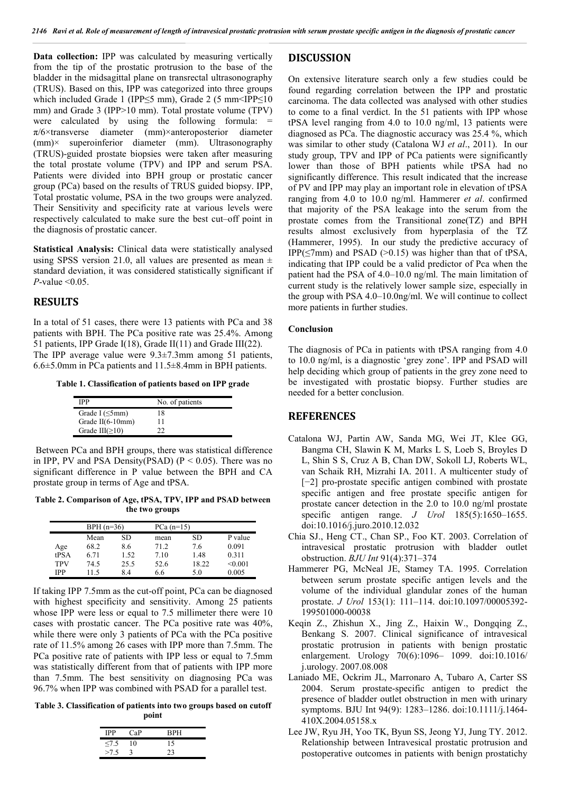**Data collection:** IPP was calculated by measuring vertically from the tip of the prostatic protrusion to the base of the bladder in the midsagittal plane on transrectal ultrasonography (TRUS). Based on this, IPP was categorized into three groups which included Grade 1 (IPP≤5 mm), Grade 2 (5 mm<IPP≤10 mm) and Grade 3 (IPP>10 mm). Total prostate volume (TPV) were calculated by using the following formula:  $=$ π/6×transverse diameter (mm)×anteroposterior diameter (mm)× superoinferior diameter (mm). Ultrasonography (TRUS)-guided prostate biopsies were taken after measuring the total prostate volume (TPV) and IPP and serum PSA. Patients were divided into BPH group or prostatic cancer group (PCa) based on the results of TRUS guided biopsy. IPP, Total prostatic volume, PSA in the two groups were analyzed. Their Sensitivity and specificity rate at various levels were respectively calculated to make sure the best cut–off point in the diagnosis of prostatic cancer.

**Statistical Analysis:** Clinical data were statistically analysed using SPSS version 21.0, all values are presented as mean  $\pm$ standard deviation, it was considered statistically significant if *P*-value <0.05.

### **RESULTS**

In a total of 51 cases, there were 13 patients with PCa and 38 patients with BPH. The PCa positive rate was 25.4%. Among 51 patients, IPP Grade I(18), Grade II(11) and Grade III(22). The IPP average value were 9.3±7.3mm among 51 patients, 6.6±5.0mm in PCa patients and 11.5±8.4mm in BPH patients.

**Table 1. Classification of patients based on IPP grade**

| IPP                   | No. of patients |
|-----------------------|-----------------|
| Grade I $(\leq 5$ mm) | 18              |
| Grade II(6-10mm)      | 11              |
| Grade $III(\geq 10)$  | າາ              |

Between PCa and BPH groups, there was statistical difference in IPP, PV and PSA Density(PSAD) ( $P < 0.05$ ). There was no significant difference in P value between the BPH and CA prostate group in terms of Age and tPSA.

**Table 2. Comparison of Age, tPSA, TPV, IPP and PSAD between the two groups**

|            | $BPH (n=36)$ |      |      | $PCa(n=15)$ |         |  |
|------------|--------------|------|------|-------------|---------|--|
|            | Mean         | SD   | mean | SD          | P value |  |
| Age        | 68.2         | 8.6  | 71.2 | 7.6         | 0.091   |  |
| tPSA       | 6.71         | 1.52 | 7.10 | 1.48        | 0.311   |  |
| <b>TPV</b> | 74.5         | 25.5 | 52.6 | 18.22       | < 0.001 |  |
| IPP        | 115          | 8.4  | 6.6  | 5.0         | 0.005   |  |

If taking IPP 7.5mm as the cut-off point, PCa can be diagnosed with highest specificity and sensitivity. Among 25 patients whose IPP were less or equal to 7.5 millimeter there were 10 cases with prostatic cancer. The PCa positive rate was 40%, while there were only 3 patients of PCa with the PCa positive rate of 11.5% among 26 cases with IPP more than 7.5mm. The PCa positive rate of patients with IPP less or equal to 7.5mm was statistically different from that of patients with IPP more than 7.5mm. The best sensitivity on diagnosing PCa was 96.7% when IPP was combined with PSAD for a parallel test.

**Table 3. Classification of patients into two groups based on cutoff point**

| <b>IPP</b> | $\Gamma_2$ P | <b>RPH</b> |
|------------|--------------|------------|
| $\leq$ 7.5 | 10           | 15         |
| >7.5       |              | 23         |

#### **DISCUSSION**

On extensive literature search only a few studies could be found regarding correlation between the IPP and prostatic carcinoma. The data collected was analysed with other studies to come to a final verdict. In the 51 patients with IPP whose tPSA level ranging from 4.0 to 10.0 ng/ml, 13 patients were diagnosed as PCa. The diagnostic accuracy was 25.4 %, which was similar to other study (Catalona WJ *et al*., 2011). In our study group, TPV and IPP of PCa patients were significantly lower than those of BPH patients while tPSA had no significantly difference. This result indicated that the increase of PV and IPP may play an important role in elevation of tPSA ranging from 4.0 to 10.0 ng/ml. Hammerer *et al*. confirmed that majority of the PSA leakage into the serum from the prostate comes from the Transitional zone(TZ) and BPH results almost exclusively from hyperplasia of the TZ (Hammerer, 1995). In our study the predictive accuracy of IPP( $\leq$ 7mm) and PSAD ( $>$ 0.15) was higher than that of tPSA, indicating that IPP could be a valid predictor of Pca when the patient had the PSA of 4.0–10.0 ng/ml. The main limitation of current study is the relatively lower sample size, especially in the group with PSA 4.0–10.0ng/ml. We will continue to collect more patients in further studies.

#### **Conclusion**

The diagnosis of PCa in patients with tPSA ranging from 4.0 to 10.0 ng/ml, is a diagnostic 'grey zone'. IPP and PSAD will help deciding which group of patients in the grey zone need to be investigated with prostatic biopsy. Further studies are needed for a better conclusion.

#### **REFERENCES**

- Catalona WJ, Partin AW, Sanda MG, Wei JT, Klee GG, Bangma CH, Slawin K M, Marks L S, Loeb S, Broyles D L, Shin S S, Cruz A B, Chan DW, Sokoll LJ, Roberts WL, van Schaik RH, Mizrahi IA. 2011. A multicenter study of [−2] pro-prostate specific antigen combined with prostate specific antigen and free prostate specific antigen for prostate cancer detection in the 2.0 to 10.0 ng/ml prostate specific antigen range. *J Urol* 185(5):1650–1655. doi:10.1016/j.juro.2010.12.032
- Chia SJ., Heng CT., Chan SP., Foo KT. 2003. Correlation of intravesical prostatic protrusion with bladder outlet obstruction. *BJU Int* 91(4):371–374
- Hammerer PG, McNeal JE, Stamey TA. 1995. Correlation between serum prostate specific antigen levels and the volume of the individual glandular zones of the human prostate. *J Urol* 153(1): 111–114. doi:10.1097/00005392- 199501000-00038
- Keqin Z., Zhishun X., Jing Z., Haixin W., Dongqing Z., Benkang S. 2007. Clinical significance of intravesical prostatic protrusion in patients with benign prostatic enlargement. Urology 70(6):1096– 1099. doi:10.1016/ j.urology. 2007.08.008
- Laniado ME, Ockrim JL, Marronaro A, Tubaro A, Carter SS 2004. Serum prostate-specific antigen to predict the presence of bladder outlet obstruction in men with urinary symptoms. BJU Int 94(9): 1283–1286. doi:10.1111/j.1464- 410X.2004.05158.x
- Lee JW, Ryu JH, Yoo TK, Byun SS, Jeong YJ, Jung TY. 2012. Relationship between Intravesical prostatic protrusion and postoperative outcomes in patients with benign prostatichy